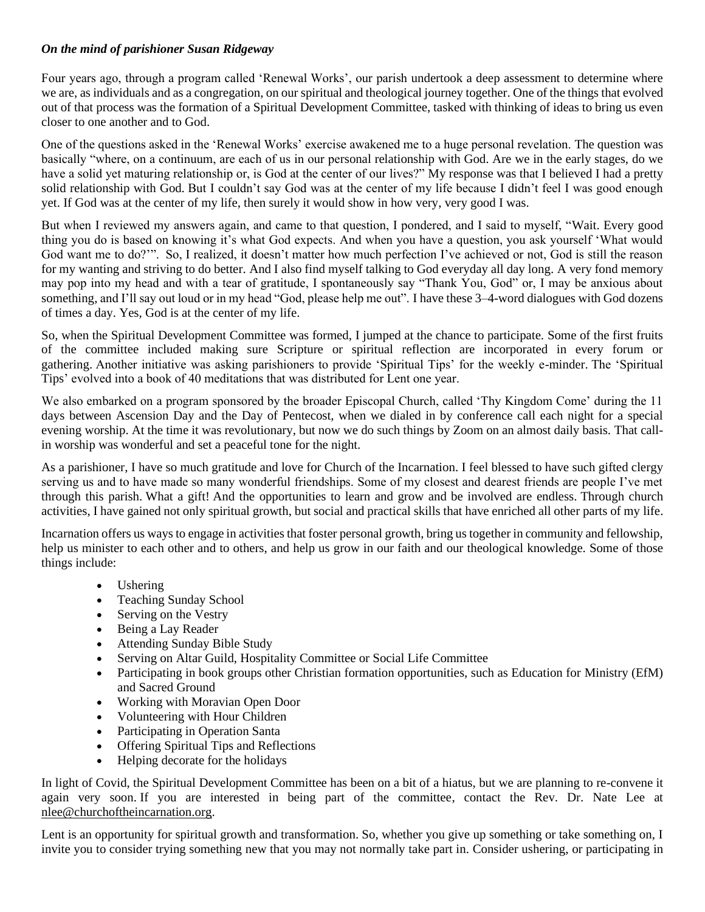# *On the mind of parishioner Susan Ridgeway*

Four years ago, through a program called 'Renewal Works', our parish undertook a deep assessment to determine where we are, as individuals and as a congregation, on our spiritual and theological journey together. One of the things that evolved out of that process was the formation of a Spiritual Development Committee, tasked with thinking of ideas to bring us even closer to one another and to God.

One of the questions asked in the 'Renewal Works' exercise awakened me to a huge personal revelation. The question was basically "where, on a continuum, are each of us in our personal relationship with God. Are we in the early stages, do we have a solid yet maturing relationship or, is God at the center of our lives?" My response was that I believed I had a pretty solid relationship with God. But I couldn't say God was at the center of my life because I didn't feel I was good enough yet. If God was at the center of my life, then surely it would show in how very, very good I was.

But when I reviewed my answers again, and came to that question, I pondered, and I said to myself, "Wait. Every good thing you do is based on knowing it's what God expects. And when you have a question, you ask yourself 'What would God want me to do?'". So, I realized, it doesn't matter how much perfection I've achieved or not, God is still the reason for my wanting and striving to do better. And I also find myself talking to God everyday all day long. A very fond memory may pop into my head and with a tear of gratitude, I spontaneously say "Thank You, God" or, I may be anxious about something, and I'll say out loud or in my head "God, please help me out". I have these 3–4-word dialogues with God dozens of times a day. Yes, God is at the center of my life.

So, when the Spiritual Development Committee was formed, I jumped at the chance to participate. Some of the first fruits of the committee included making sure Scripture or spiritual reflection are incorporated in every forum or gathering. Another initiative was asking parishioners to provide 'Spiritual Tips' for the weekly e-minder. The 'Spiritual Tips' evolved into a book of 40 meditations that was distributed for Lent one year.

We also embarked on a program sponsored by the broader Episcopal Church, called 'Thy Kingdom Come' during the 11 days between Ascension Day and the Day of Pentecost, when we dialed in by conference call each night for a special evening worship. At the time it was revolutionary, but now we do such things by Zoom on an almost daily basis. That callin worship was wonderful and set a peaceful tone for the night.

As a parishioner, I have so much gratitude and love for Church of the Incarnation. I feel blessed to have such gifted clergy serving us and to have made so many wonderful friendships. Some of my closest and dearest friends are people I've met through this parish. What a gift! And the opportunities to learn and grow and be involved are endless. Through church activities, I have gained not only spiritual growth, but social and practical skills that have enriched all other parts of my life.

Incarnation offers us ways to engage in activities that foster personal growth, bring us together in community and fellowship, help us minister to each other and to others, and help us grow in our faith and our theological knowledge. Some of those things include:

- Ushering
- Teaching Sunday School
- Serving on the Vestry
- Being a Lay Reader
- Attending Sunday Bible Study
- Serving on Altar Guild, Hospitality Committee or Social Life Committee
- Participating in book groups other Christian formation opportunities, such as Education for Ministry (EfM) and Sacred Ground
- Working with Moravian Open Door
- Volunteering with Hour Children
- Participating in Operation Santa
- Offering Spiritual Tips and Reflections
- Helping decorate for the holidays

In light of Covid, the Spiritual Development Committee has been on a bit of a hiatus, but we are planning to re-convene it again very soon. If you are interested in being part of the committee, contact the Rev. Dr. Nate Lee at [nlee@churchoftheincarnation.org.](mailto:nlee@churchoftheincarnation.org)

Lent is an opportunity for spiritual growth and transformation. So, whether you give up something or take something on, I invite you to consider trying something new that you may not normally take part in. Consider ushering, or participating in